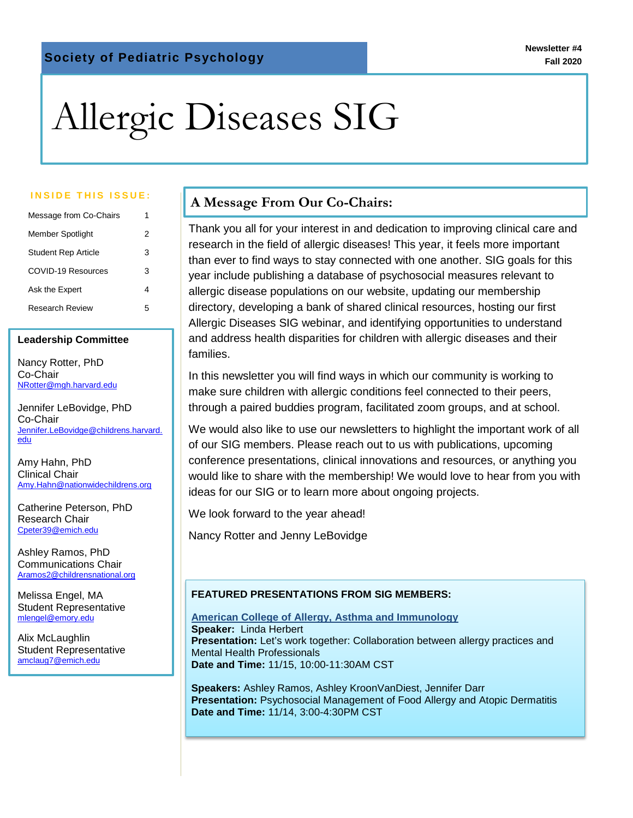# Allergic Diseases SIG

| Message from Co-Chairs     | 1 |
|----------------------------|---|
| Member Spotlight           | 2 |
| <b>Student Rep Article</b> | 3 |
| COVID-19 Resources         | з |
| Ask the Expert             | 4 |
| Research Review            | 5 |

#### **Leadership Committee**

Nancy Rotter, PhD Co-Chair [NRotter@mgh.harvard.edu](mailto:NRotter@mgh.harvard.edu)

Jennifer LeBovidge, PhD Co-Chair [Jennifer.LeBovidge@childrens.harvard.](mailto:Jennifer.LeBovidge@childrens.harvard.edu) [edu](mailto:Jennifer.LeBovidge@childrens.harvard.edu)

Amy Hahn, PhD Clinical Chair [Amy.Hahn@nationwidechildrens.org](mailto:Amy.Hahn@nationwidechildrens.org)

Catherine Peterson, PhD Research Chair [Cpeter39@emich.edu](mailto:Cpeter39@emich.edu)

Ashley Ramos, PhD Communications Chair [Aramos2@childrensnational.org](mailto:Aramos2@childrensnational.org)

Melissa Engel, MA Student Representative [mlengel@emory.edu](mailto:Melissa.lauren.engel@emory.edu)

Alix McLaughlin Student Representative [amclaug7@emich.edu](mailto:amclaug7@emich.edu)

# **A Message From Our Co-Chairs:**<br> **Inside This ISSUE: A** Message From Our Co-Chairs:

 Thank you all for your interest in and dedication to improving clinical care and research in the field of allergic diseases! This year, it feels more important than ever to find ways to stay connected with one another. SIG goals for this year include publishing a database of psychosocial measures relevant to allergic disease populations on our website, updating our membership directory, developing a bank of shared clinical resources, hosting our first Allergic Diseases SIG webinar, and identifying opportunities to understand and address health disparities for children with allergic diseases and their families.

In this newsletter you will find ways in which our community is working to make sure children with allergic conditions feel connected to their peers, through a paired buddies program, facilitated zoom groups, and at school.

We would also like to use our newsletters to highlight the important work of all of our SIG members. Please reach out to us with publications, upcoming conference presentations, clinical innovations and resources, or anything you would like to share with the membership! We would love to hear from you with ideas for our SIG or to learn more about ongoing projects.

We look forward to the year ahead!

Nancy Rotter and Jenny LeBovidge

#### **FEATURED PRESENTATIONS FROM SIG MEMBERS:**

**American College of Allergy, Asthma and Immunology Speaker:** Linda Herbert **Presentation:** Let's work together: Collaboration between allergy practices and Mental Health Professionals **Date and Time:** 11/15, 10:00-11:30AM CST

**Speakers:** Ashley Ramos, Ashley KroonVanDiest, Jennifer Darr **Presentation:** Psychosocial Management of Food Allergy and Atopic Dermatitis **Date and Time:** 11/14, 3:00-4:30PM CST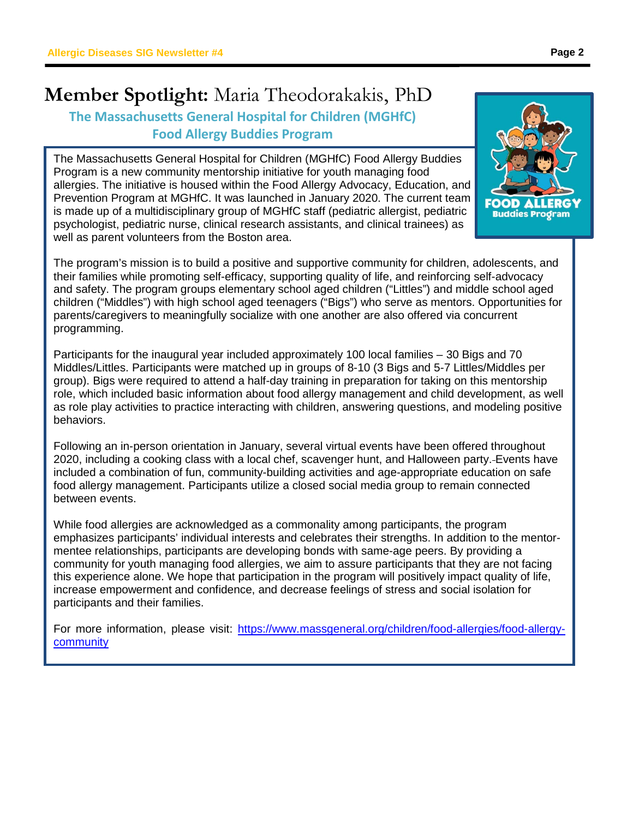## **Member Spotlight:** Maria Theodorakakis, PhD **The Massachusetts General Hospital for Children (MGHfC) Food Allergy Buddies Program**

The Massachusetts General Hospital for Children (MGHfC) Food Allergy Buddies Program is a new community mentorship initiative for youth managing food allergies. The initiative is housed within the Food Allergy Advocacy, Education, and Prevention Program at MGHfC. It was launched in January 2020. The current team is made up of a multidisciplinary group of MGHfC staff (pediatric allergist, pediatric psychologist, pediatric nurse, clinical research assistants, and clinical trainees) as well as parent volunteers from the Boston area.

The program's mission is to build a positive and supportive community for children, adolescents, and their families while promoting self-efficacy, supporting quality of life, and reinforcing self-advocacy and safety. The program groups elementary school aged children ("Littles") and middle school aged children ("Middles") with high school aged teenagers ("Bigs") who serve as mentors. Opportunities for parents/caregivers to meaningfully socialize with one another are also offered via concurrent programming.

Participants for the inaugural year included approximately 100 local families – 30 Bigs and 70 Middles/Littles. Participants were matched up in groups of 8-10 (3 Bigs and 5-7 Littles/Middles per group). Bigs were required to attend a half-day training in preparation for taking on this mentorship role, which included basic information about food allergy management and child development, as well as role play activities to practice interacting with children, answering questions, and modeling positive behaviors.

Following an in-person orientation in January, several virtual events have been offered throughout 2020, including a cooking class with a local chef, scavenger hunt, and Halloween party. Events have included a combination of fun, community-building activities and age-appropriate education on safe food allergy management. Participants utilize a closed social media group to remain connected between events.

While food allergies are acknowledged as a commonality among participants, the program emphasizes participants' individual interests and celebrates their strengths. In addition to the mentormentee relationships, participants are developing bonds with same-age peers. By providing a community for youth managing food allergies, we aim to assure participants that they are not facing this experience alone. We hope that participation in the program will positively impact quality of life, increase empowerment and confidence, and decrease feelings of stress and social isolation for participants and their families.

For more information, please visit: [https://www.massgeneral.org/children/food-allergies/food-allergy](https://www.massgeneral.org/children/food-allergies/food-allergy-community)[community](https://www.massgeneral.org/children/food-allergies/food-allergy-community)

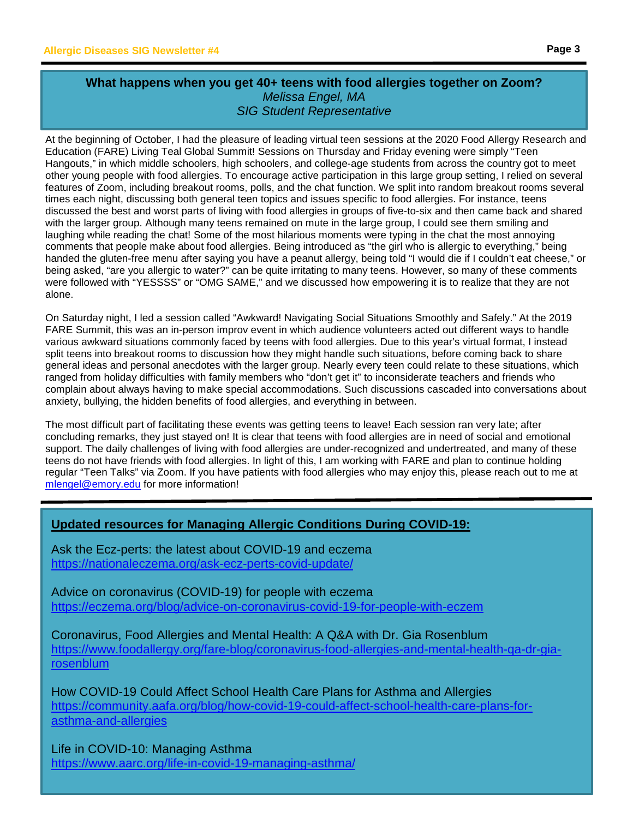$\overline{a}$ 

#### **What happens when you get 40+ teens with food allergies together on Zoom?** *Melissa Engel, MA SIG Student Representative*

At the beginning of October, I had the pleasure of leading virtual teen sessions at the 2020 Food Allergy Research and Education (FARE) Living Teal Global Summit! Sessions on Thursday and Friday evening were simply "Teen Hangouts," in which middle schoolers, high schoolers, and college-age students from across the country got to meet other young people with food allergies. To encourage active participation in this large group setting, I relied on several features of Zoom, including breakout rooms, polls, and the chat function. We split into random breakout rooms several times each night, discussing both general teen topics and issues specific to food allergies. For instance, teens discussed the best and worst parts of living with food allergies in groups of five-to-six and then came back and shared with the larger group. Although many teens remained on mute in the large group, I could see them smiling and laughing while reading the chat! Some of the most hilarious moments were typing in the chat the most annoying comments that people make about food allergies. Being introduced as "the girl who is allergic to everything," being handed the gluten-free menu after saying you have a peanut allergy, being told "I would die if I couldn't eat cheese," or being asked, "are you allergic to water?" can be quite irritating to many teens. However, so many of these comments were followed with "YESSSS" or "OMG SAME," and we discussed how empowering it is to realize that they are not alone.

On Saturday night, I led a session called "Awkward! Navigating Social Situations Smoothly and Safely." At the 2019 FARE Summit, this was an in-person improv event in which audience volunteers acted out different ways to handle various awkward situations commonly faced by teens with food allergies. Due to this year's virtual format, I instead split teens into breakout rooms to discussion how they might handle such situations, before coming back to share general ideas and personal anecdotes with the larger group. Nearly every teen could relate to these situations, which ranged from holiday difficulties with family members who "don't get it" to inconsiderate teachers and friends who complain about always having to make special accommodations. Such discussions cascaded into conversations about anxiety, bullying, the hidden benefits of food allergies, and everything in between.

The most difficult part of facilitating these events was getting teens to leave! Each session ran very late; after concluding remarks, they just stayed on! It is clear that teens with food allergies are in need of social and emotional support. The daily challenges of living with food allergies are under-recognized and undertreated, and many of these teens do not have friends with food allergies. In light of this, I am working with FARE and plan to continue holding regular "Teen Talks" via Zoom. If you have patients with food allergies who may enjoy this, please reach out to me at [mlengel@emory.edu](mailto:mlengel@emory.edu) for more information!

### **Updated resources for Managing Allergic Conditions During COVID-19:**

Ask the Ecz-perts: the latest about COVID-19 and eczema <https://nationaleczema.org/ask-ecz-perts-covid-update/>

Advice on coronavirus (COVID-19) for people with eczema <https://eczema.org/blog/advice-on-coronavirus-covid-19-for-people-with-eczem>

Coronavirus, Food Allergies and Mental Health: A Q&A with Dr. Gia Rosenblum [https://www.foodallergy.org/fare-blog/coronavirus-food-allergies-and-mental-health-qa-dr-gia](https://www.foodallergy.org/fare-blog/coronavirus-food-allergies-and-mental-health-qa-dr-gia-rosenblum)[rosenblum](https://www.foodallergy.org/fare-blog/coronavirus-food-allergies-and-mental-health-qa-dr-gia-rosenblum)

How COVID-19 Could Affect School Health Care Plans for Asthma and Allergies [https://community.aafa.org/blog/how-covid-19-could-affect-school-health-care-plans-for](https://community.aafa.org/blog/how-covid-19-could-affect-school-health-care-plans-for-asthma-and-allergies)[asthma-and-allergies](https://community.aafa.org/blog/how-covid-19-could-affect-school-health-care-plans-for-asthma-and-allergies)

Life in COVID-10: Managing Asthma <https://www.aarc.org/life-in-covid-19-managing-asthma/>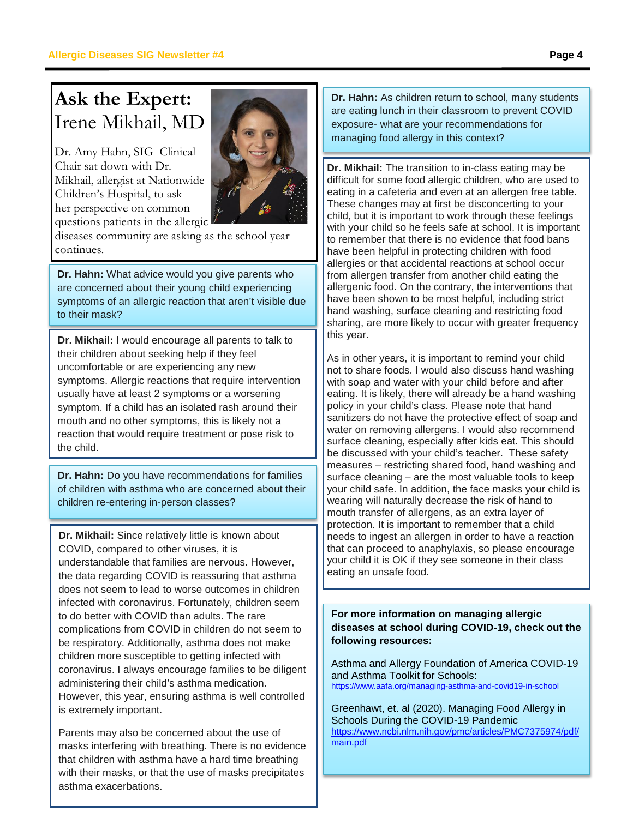# **Ask the Expert:**  Irene Mikhail, MD

Dr. Amy Hahn, SIG Clinical Chair sat down with Dr. Mikhail, allergist at Nationwide Children's Hospital, to ask her perspective on common questions patients in the allergic



diseases community are asking as the school year continues.

**Dr. Hahn:** What advice would you give parents who are concerned about their young child experiencing symptoms of an allergic reaction that aren't visible due to their mask?

**Dr. Mikhail:** I would encourage all parents to talk to their children about seeking help if they feel uncomfortable or are experiencing any new symptoms. Allergic reactions that require intervention usually have at least 2 symptoms or a worsening symptom. If a child has an isolated rash around their mouth and no other symptoms, this is likely not a reaction that would require treatment or pose risk to the child.

**Dr. Hahn:** Do you have recommendations for families of children with asthma who are concerned about their children re-entering in-person classes?

**Dr. Mikhail:** Since relatively little is known about COVID, compared to other viruses, it is understandable that families are nervous. However, the data regarding COVID is reassuring that asthma does not seem to lead to worse outcomes in children infected with coronavirus. Fortunately, children seem to do better with COVID than adults. The rare complications from COVID in children do not seem to be respiratory. Additionally, asthma does not make children more susceptible to getting infected with coronavirus. I always encourage families to be diligent administering their child's asthma medication. However, this year, ensuring asthma is well controlled is extremely important.

Parents may also be concerned about the use of masks interfering with breathing. There is no evidence that children with asthma have a hard time breathing with their masks, or that the use of masks precipitates asthma exacerbations.

**Dr. Hahn:** As children return to school, many students are eating lunch in their classroom to prevent COVID exposure- what are your recommendations for managing food allergy in this context?

**Dr. Mikhail:** The transition to in-class eating may be difficult for some food allergic children, who are used to eating in a cafeteria and even at an allergen free table. These changes may at first be disconcerting to your child, but it is important to work through these feelings with your child so he feels safe at school. It is important to remember that there is no evidence that food bans have been helpful in protecting children with food allergies or that accidental reactions at school occur from allergen transfer from another child eating the allergenic food. On the contrary, the interventions that have been shown to be most helpful, including strict hand washing, surface cleaning and restricting food sharing, are more likely to occur with greater frequency this year.

As in other years, it is important to remind your child not to share foods. I would also discuss hand washing with soap and water with your child before and after eating. It is likely, there will already be a hand washing policy in your child's class. Please note that hand sanitizers do not have the protective effect of soap and water on removing allergens. I would also recommend surface cleaning, especially after kids eat. This should be discussed with your child's teacher. These safety measures – restricting shared food, hand washing and surface cleaning – are the most valuable tools to keep your child safe. In addition, the face masks your child is wearing will naturally decrease the risk of hand to mouth transfer of allergens, as an extra layer of protection. It is important to remember that a child needs to ingest an allergen in order to have a reaction that can proceed to anaphylaxis, so please encourage your child it is OK if they see someone in their class eating an unsafe food.

#### **For more information on managing allergic diseases at school during COVID-19, check out the following resources:**

Asthma and Allergy Foundation of America COVID-19 and Asthma Toolkit for Schools: <https://www.aafa.org/managing-asthma-and-covid19-in-school>

Greenhawt, et. al (2020). Managing Food Allergy in Schools During the COVID-19 Pandemic [https://www.ncbi.nlm.nih.gov/pmc/articles/PMC7375974/pdf/](https://www.ncbi.nlm.nih.gov/pmc/articles/PMC7375974/pdf/main.pdf) [main.pdf](https://www.ncbi.nlm.nih.gov/pmc/articles/PMC7375974/pdf/main.pdf)